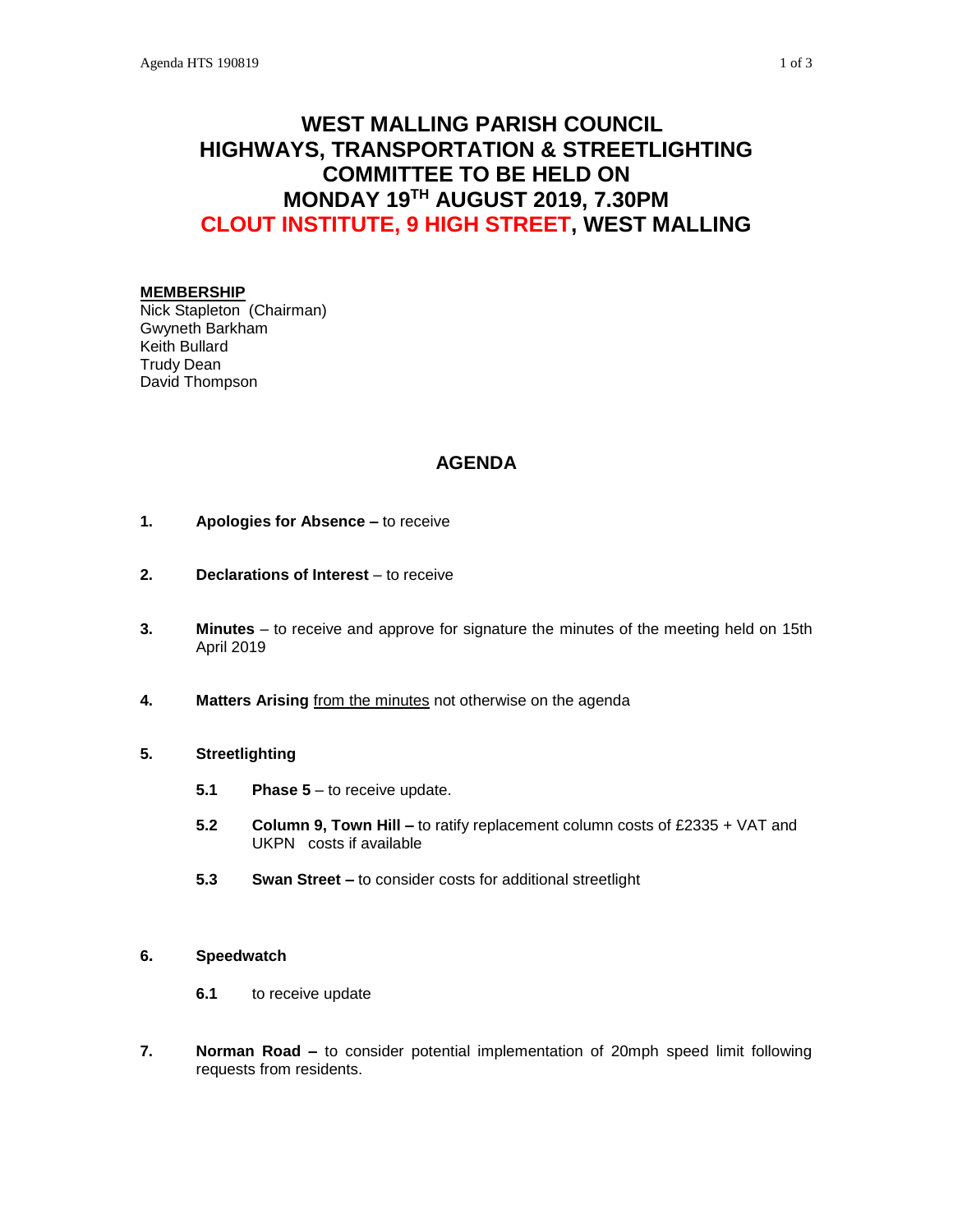# **WEST MALLING PARISH COUNCIL HIGHWAYS, TRANSPORTATION & STREETLIGHTING COMMITTEE TO BE HELD ON MONDAY 19TH AUGUST 2019, 7.30PM CLOUT INSTITUTE, 9 HIGH STREET, WEST MALLING**

#### **MEMBERSHIP**

Nick Stapleton (Chairman) Gwyneth Barkham Keith Bullard Trudy Dean David Thompson

## **AGENDA**

- **1. Apologies for Absence –** to receive
- **2. Declarations of Interest** to receive
- **3. Minutes**  to receive and approve for signature the minutes of the meeting held on 15th April 2019
- **4. Matters Arising** from the minutes not otherwise on the agenda

#### **5. Streetlighting**

- **5.1 Phase 5** to receive update.
- **5.2 Column 9, Town Hill –** to ratify replacement column costs of £2335 + VAT and UKPN costs if available
- **5.3 Swan Street –** to consider costs for additional streetlight

#### **6. Speedwatch**

- **6.1** to receive update
- **7. Norman Road –** to consider potential implementation of 20mph speed limit following requests from residents.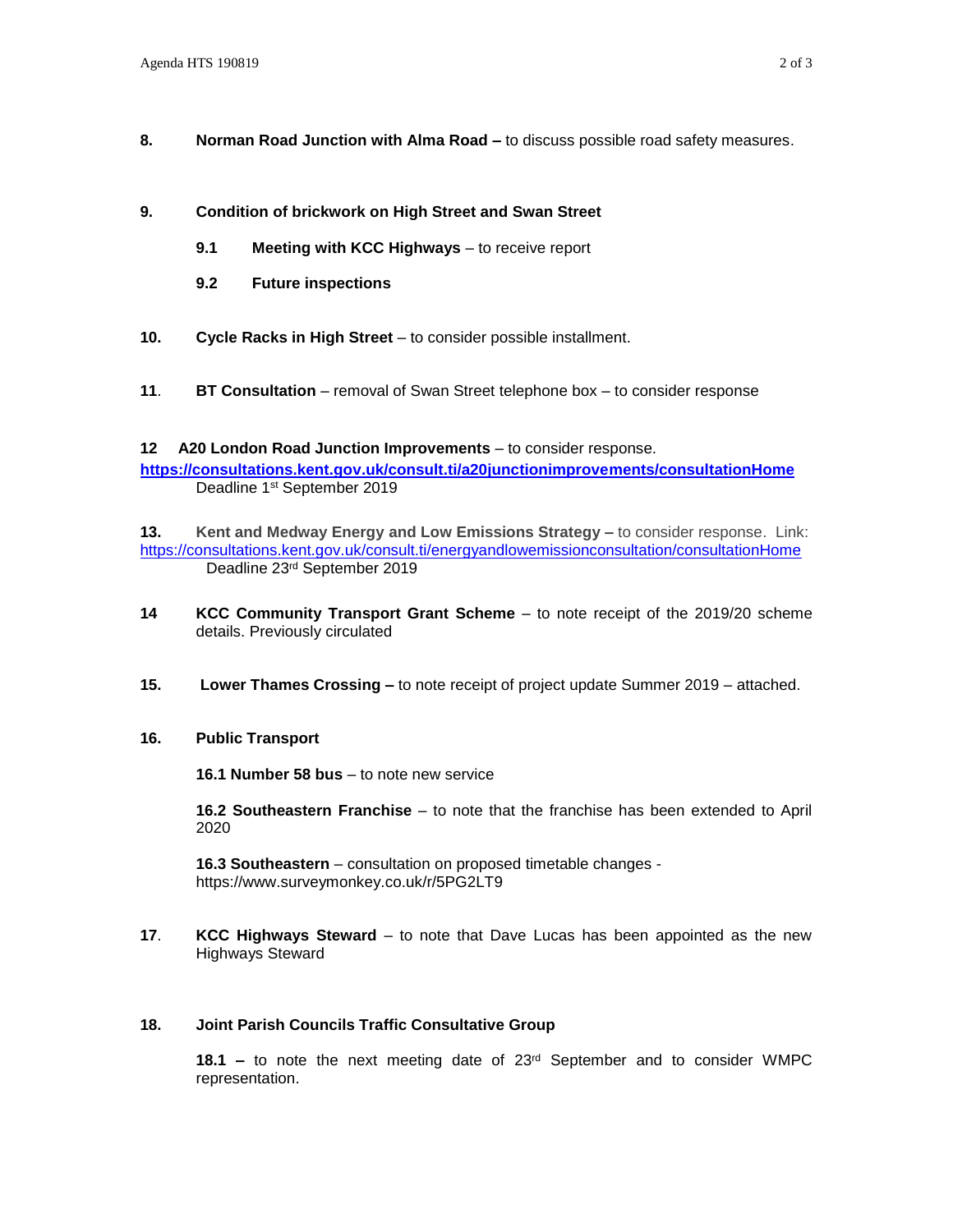- **8. Norman Road Junction with Alma Road –** to discuss possible road safety measures.
- **9. Condition of brickwork on High Street and Swan Street**
	- **9.1 Meeting with KCC Highways** to receive report
	- **9.2 Future inspections**
- **10. Cycle Racks in High Street** to consider possible installment.
- **11**. **BT Consultation** removal of Swan Street telephone box to consider response

#### **12 A20 London Road Junction Improvements** – to consider response.

**<https://consultations.kent.gov.uk/consult.ti/a20junctionimprovements/consultationHome>** Deadline 1<sup>st</sup> September 2019

**13. Kent and Medway Energy and Low Emissions Strategy –** to consider response. Link: <https://consultations.kent.gov.uk/consult.ti/energyandlowemissionconsultation/consultationHome> Deadline 23rd September 2019

- **14 KCC Community Transport Grant Scheme** to note receipt of the 2019/20 scheme details. Previously circulated
- **15. Lower Thames Crossing –** to note receipt of project update Summer 2019 attached.

#### **16. Public Transport**

**16.1 Number 58 bus** – to note new service

**16.2 Southeastern Franchise** – to note that the franchise has been extended to April 2020

**16.3 Southeastern** – consultation on proposed timetable changes <https://www.surveymonkey.co.uk/r/5PG2LT9>

**17**. **KCC Highways Steward** – to note that Dave Lucas has been appointed as the new Highways Steward

#### **18. Joint Parish Councils Traffic Consultative Group**

**18.1 –** to note the next meeting date of 23rd September and to consider WMPC representation.